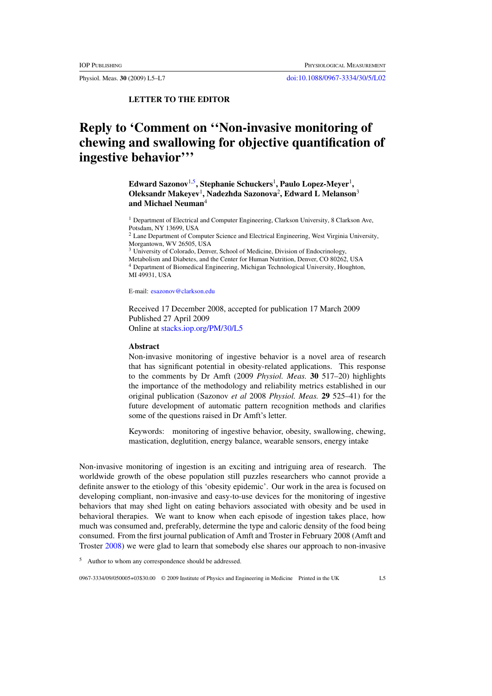**LETTER TO THE EDITOR**

## **Reply to 'Comment on ''Non-invasive monitoring of chewing and swallowing for objective quantification of ingestive behavior'''**

**Edward Sazonov**1,5**, Stephanie Schuckers**<sup>1</sup> **, Paulo Lopez-Meyer**<sup>1</sup> **, Oleksandr Makeyev**<sup>1</sup> **, Nadezhda Sazonova**<sup>2</sup> **, Edward L Melanson**<sup>3</sup> **and Michael Neuman**<sup>4</sup>

<sup>1</sup> Department of Electrical and Computer Engineering, Clarkson University, 8 Clarkson Ave, Potsdam, NY 13699, USA

<sup>2</sup> Lane Department of Computer Science and Electrical Engineering, West Virginia University, Morgantown, WV 26505, USA

<sup>3</sup> University of Colorado, Denver, School of Medicine, Division of Endocrinology,

Metabolism and Diabetes, and the Center for Human Nutrition, Denver, CO 80262, USA

<sup>4</sup> Department of Biomedical Engineering, Michigan Technological University, Houghton, MI 49931, USA

E-mail: [esazonov@clarkson.edu](mailto:esazonov@clarkson.edu)

Received 17 December 2008, accepted for publication 17 March 2009 Published 27 April 2009 Online at [stacks.iop.org/PM/30/L5](http://stacks.iop.org/PM/30/L5)

## **Abstract**

Non-invasive monitoring of ingestive behavior is a novel area of research that has significant potential in obesity-related applications. This response to the comments by Dr Amft (2009 *Physiol. Meas.* **30** 517–20) highlights the importance of the methodology and reliability metrics established in our original publication (Sazonov *et al* 2008 *Physiol. Meas.* **29** 525–41) for the future development of automatic pattern recognition methods and clarifies some of the questions raised in Dr Amft's letter.

Keywords: monitoring of ingestive behavior, obesity, swallowing, chewing, mastication, deglutition, energy balance, wearable sensors, energy intake

Non-invasive monitoring of ingestion is an exciting and intriguing area of research. The worldwide growth of the obese population still puzzles researchers who cannot provide a definite answer to the etiology of this 'obesity epidemic'. Our work in the area is focused on developing compliant, non-invasive and easy-to-use devices for the monitoring of ingestive behaviors that may shed light on eating behaviors associated with obesity and be used in behavioral therapies. We want to know when each episode of ingestion takes place, how much was consumed and, preferably, determine the type and caloric density of the food being consumed. From the first journal publication of Amft and Troster in February 2008 (Amft and Troster [2008](#page-2-0)) we were glad to learn that somebody else shares our approach to non-invasive

<sup>5</sup> Author to whom any correspondence should be addressed.

0967-3334/09/050005+03\$30.00 © 2009 Institute of Physics and Engineering in Medicine Printed in the UK L5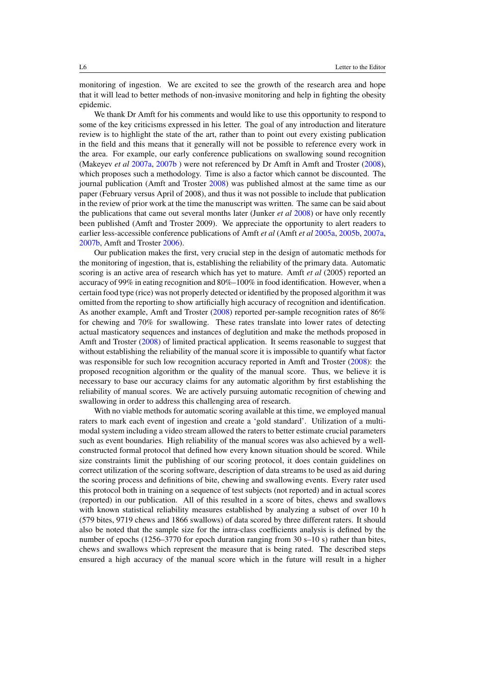monitoring of ingestion. We are excited to see the growth of the research area and hope that it will lead to better methods of non-invasive monitoring and help in fighting the obesity epidemic.

We thank Dr Amft for his comments and would like to use this opportunity to respond to some of the key criticisms expressed in his letter. The goal of any introduction and literature review is to highlight the state of the art, rather than to point out every existing publication in the field and this means that it generally will not be possible to reference every work in the area. For example, our early conference publications on swallowing sound recognition (Makeyev *et al* [2007a](#page-2-0), [2007b](#page-2-0) ) were not referenced by Dr Amft in Amft and Troster [\(2008\)](#page-2-0), which proposes such a methodology. Time is also a factor which cannot be discounted. The journal publication (Amft and Troster [2008\)](#page-2-0) was published almost at the same time as our paper (February versus April of 2008), and thus it was not possible to include that publication in the review of prior work at the time the manuscript was written. The same can be said about the publications that came out several months later (Junker *et al* [2008\)](#page-2-0) or have only recently been published (Amft and Troster 2009). We appreciate the opportunity to alert readers to earlier less-accessible conference publications of Amft *et al* (Amft *et al* [2005a](#page-2-0), [2005b,](#page-2-0) [2007a](#page-2-0), [2007b,](#page-2-0) Amft and Troster [2006](#page-2-0)).

Our publication makes the first, very crucial step in the design of automatic methods for the monitoring of ingestion, that is, establishing the reliability of the primary data. Automatic scoring is an active area of research which has yet to mature. Amft *et al* (2005) reported an accuracy of 99% in eating recognition and 80%–100% in food identification. However, when a certain food type (rice) was not properly detected or identified by the proposed algorithm it was omitted from the reporting to show artificially high accuracy of recognition and identification. As another example, Amft and Troster [\(2008\)](#page-2-0) reported per-sample recognition rates of 86% for chewing and 70% for swallowing. These rates translate into lower rates of detecting actual masticatory sequences and instances of deglutition and make the methods proposed in Amft and Troster [\(2008](#page-2-0)) of limited practical application. It seems reasonable to suggest that without establishing the reliability of the manual score it is impossible to quantify what factor was responsible for such low recognition accuracy reported in Amft and Troster [\(2008\)](#page-2-0): the proposed recognition algorithm or the quality of the manual score. Thus, we believe it is necessary to base our accuracy claims for any automatic algorithm by first establishing the reliability of manual scores. We are actively pursuing automatic recognition of chewing and swallowing in order to address this challenging area of research.

With no viable methods for automatic scoring available at this time, we employed manual raters to mark each event of ingestion and create a 'gold standard'. Utilization of a multimodal system including a video stream allowed the raters to better estimate crucial parameters such as event boundaries. High reliability of the manual scores was also achieved by a wellconstructed formal protocol that defined how every known situation should be scored. While size constraints limit the publishing of our scoring protocol, it does contain guidelines on correct utilization of the scoring software, description of data streams to be used as aid during the scoring process and definitions of bite, chewing and swallowing events. Every rater used this protocol both in training on a sequence of test subjects (not reported) and in actual scores (reported) in our publication. All of this resulted in a score of bites, chews and swallows with known statistical reliability measures established by analyzing a subset of over 10 h (579 bites, 9719 chews and 1866 swallows) of data scored by three different raters. It should also be noted that the sample size for the intra-class coefficients analysis is defined by the number of epochs (1256–3770 for epoch duration ranging from 30 s–10 s) rather than bites, chews and swallows which represent the measure that is being rated. The described steps ensured a high accuracy of the manual score which in the future will result in a higher